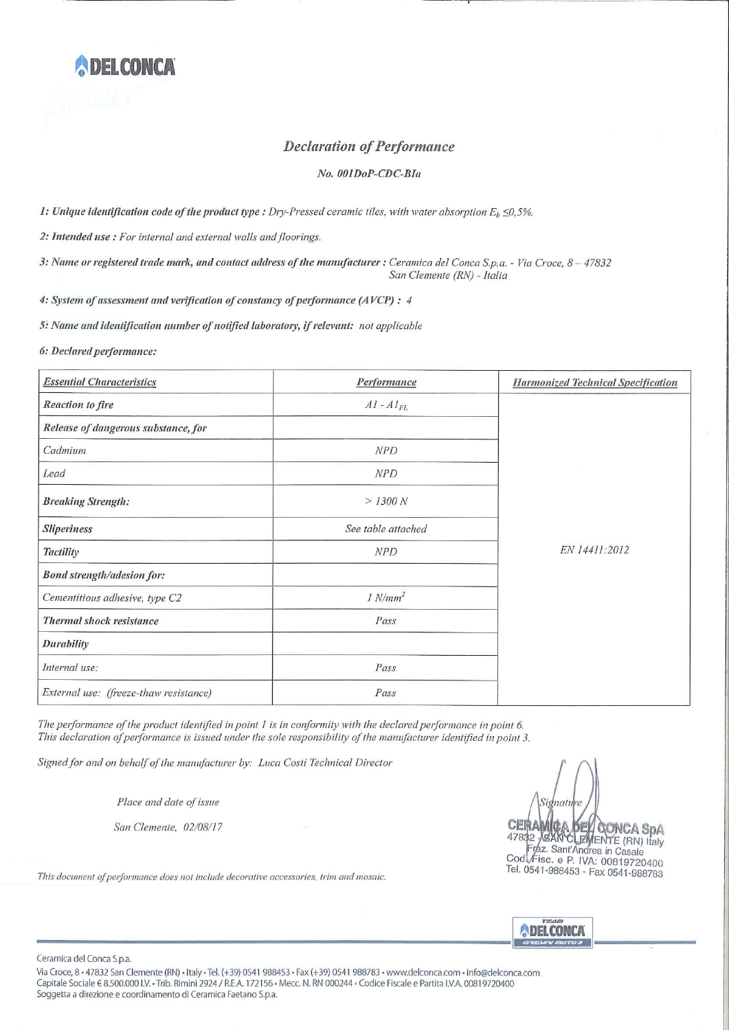

## **Declaration of Performance**

## No. 001DoP-CDC-BIa

1: Unique identification code of the product type : Dry-Pressed ceramic tiles, with water absorption  $E_b \le 0.5\%$ .

2: Intended use: For internal and external walls and floorings.

3: Name or registered trade mark, and contact address of the manufacturer : Ceramica del Conca S.p.a. - Via Croce, 8 - 47832 San Clemente (RN) - Italia

4: System of assessment and verification of constancy of performance (AVCP) : 4

5: Name and identification number of notified laboratory, if relevant: not applicable

## 6: Declared performance:

| <b>Essential Characteristics</b>       | Performance        | <b>Harmonized Technical Specification</b> |
|----------------------------------------|--------------------|-------------------------------------------|
| <b>Reaction</b> to fire                | $AI - AI$          |                                           |
| Release of dangerous substance, for    |                    |                                           |
| Cadmium                                | <b>NPD</b>         |                                           |
| Lead                                   | NPD                |                                           |
| <b>Breaking Strength:</b>              | > 1300 N           |                                           |
| <b>Sliperiness</b>                     | See table attached |                                           |
| <b>Tactility</b>                       | NPD                | EN 14411:2012                             |
| <b>Bond strength/adesion for:</b>      |                    |                                           |
| Cementitious adhesive, type C2         | $1 N/mm^2$         |                                           |
| <b>Thermal shock resistance</b>        | Pass               |                                           |
| <b>Durability</b>                      |                    |                                           |
| Internal use:                          | Pass               |                                           |
| External use: (freeze-thaw resistance) | Pass               |                                           |

The performance of the product identified in point 1 is in conformity with the declared performance in point 6. This declaration of performance is issued under the sole responsibility of the manufacturer identified in point 3.

Signed for and on behalf of the manufacturer by: Luca Costi Technical Director

Place and date of issue

San Clemente, 02/08/17

This document of performance does not include decorative accessories, trim and mosaic.

Si nati **CERAMICA DEVICONCA SPA**<br>47832 / SANCLEMENTE (RN) Italy<br>Fraz. Sant'Andrea in Casale<br>Cod Fisc. e P. IVA: 00819720400 Tel. 0541-988453 - Fax 0541-988783



Ceramica del Conca S.p.a.

Via Croce, 8 · 47832 San Clemente (RN) · Italy · Tel. (+39) 0541 988453 · Fax (+39) 0541 988783 · www.delconca.com · info@delconca.com Capitale Sociale € 8.500.000 I.V. • Trib. Rimini 2924 / R.E.A. 172156 • Mecc. N. RN 000244 • Codice Fiscale e Partita I.V.A. 00819720400 Soggetta a direzione e coordinamento di Ceramica Faetano S.p.a.